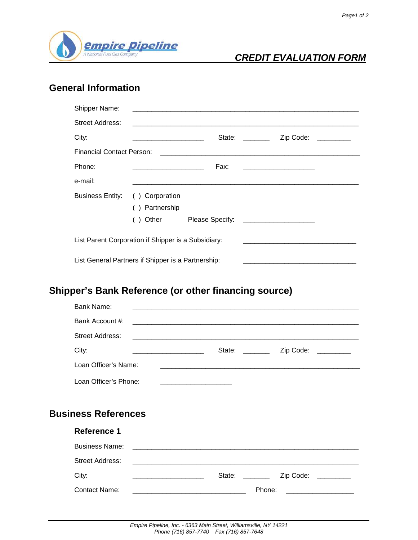

### **CREDIT EVALUATION FORM**

## **General Information**

| <b>Shipper Name:</b>                                |                                                        |                                                            |                                                                                                                                                                                                                                |                                              |  |  |
|-----------------------------------------------------|--------------------------------------------------------|------------------------------------------------------------|--------------------------------------------------------------------------------------------------------------------------------------------------------------------------------------------------------------------------------|----------------------------------------------|--|--|
| Street Address:                                     |                                                        | <u> 1989 - John Stein, Amerikaansk politiker (</u> † 1920) |                                                                                                                                                                                                                                |                                              |  |  |
| City:                                               | <u> 1989 - Jan Barnett, fransk politiker (d. 1989)</u> |                                                            | State: The State of the State of the State of the State of the State of the State of the State of the State of the State of the State of the State of the State of the State of the State of the State of the State of the Sta | Zip Code:                                    |  |  |
| Financial Contact Person:                           |                                                        |                                                            |                                                                                                                                                                                                                                |                                              |  |  |
| Phone:                                              |                                                        | Fax:                                                       |                                                                                                                                                                                                                                | <u> 1980 - Jan Samuel Barbara, martin di</u> |  |  |
| e-mail:                                             |                                                        |                                                            |                                                                                                                                                                                                                                |                                              |  |  |
| <b>Business Entity:</b>                             | Corporation                                            |                                                            |                                                                                                                                                                                                                                |                                              |  |  |
|                                                     | Partnership                                            |                                                            |                                                                                                                                                                                                                                |                                              |  |  |
|                                                     | Other                                                  | Please Specify:                                            |                                                                                                                                                                                                                                |                                              |  |  |
| List Parent Corporation if Shipper is a Subsidiary: |                                                        |                                                            |                                                                                                                                                                                                                                |                                              |  |  |
| List General Partners if Shipper is a Partnership:  |                                                        |                                                            |                                                                                                                                                                                                                                |                                              |  |  |

# **Shipper's Bank Reference (or other financing source)**

| Bank Name:                 | <u> 1980 - Jan Barat, margaret al II-lea (b. 1980)</u>                                                                 |                                |                                                 |
|----------------------------|------------------------------------------------------------------------------------------------------------------------|--------------------------------|-------------------------------------------------|
| Bank Account #:            | <u> 1989 - Jan James James James James James James James James James James James James James James James James J</u>   |                                |                                                 |
| <b>Street Address:</b>     |                                                                                                                        |                                |                                                 |
| City:                      | <u> Alexandria de la contentación de la contentación de la contentación de la contentación de la contentación de l</u> | State: ________                | Zip Code:                                       |
| Loan Officer's Name:       |                                                                                                                        |                                |                                                 |
| Loan Officer's Phone:      | the contract of the contract of the contract of the contract of                                                        |                                |                                                 |
|                            |                                                                                                                        |                                |                                                 |
| <b>Business References</b> |                                                                                                                        |                                |                                                 |
| <b>Reference 1</b>         |                                                                                                                        |                                |                                                 |
| <b>Business Name:</b>      |                                                                                                                        |                                |                                                 |
| <b>Street Address:</b>     |                                                                                                                        |                                |                                                 |
| City:                      | State:                                                                                                                 | <b>Contract Contract State</b> | Zip Code:<br><u> 1989 - Johann Barnett, f</u>   |
| Contact Name:              |                                                                                                                        | Phone:                         | <u> 1980 - John Stein, Amerikaansk kanton (</u> |